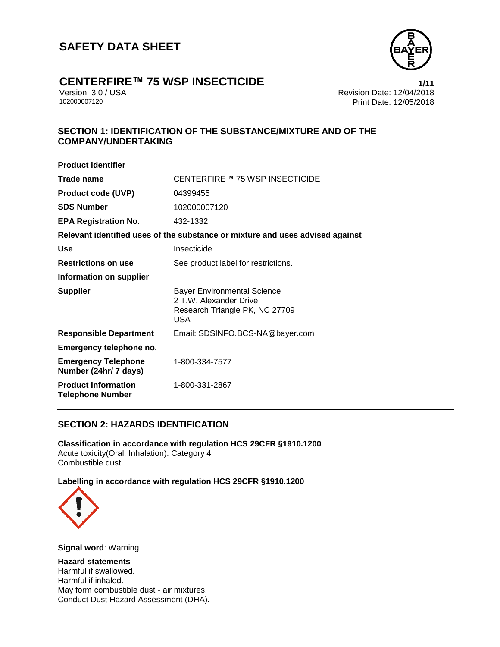

### **CENTERFIRE™ 75 WSP INSECTICIDE 1/11**

Version 3.0 / USA Revision Date: 12/04/2018 Print Date: 12/05/2018

#### **SECTION 1: IDENTIFICATION OF THE SUBSTANCE/MIXTURE AND OF THE COMPANY/UNDERTAKING**

| <b>Product identifier</b>                             |                                                                                                       |
|-------------------------------------------------------|-------------------------------------------------------------------------------------------------------|
| Trade name                                            | CENTERFIRE™ 75 WSP INSECTICIDE                                                                        |
| <b>Product code (UVP)</b>                             | 04399455                                                                                              |
| <b>SDS Number</b>                                     | 102000007120                                                                                          |
| <b>EPA Registration No.</b>                           | 432-1332                                                                                              |
|                                                       | Relevant identified uses of the substance or mixture and uses advised against                         |
| Use                                                   | Insecticide                                                                                           |
| <b>Restrictions on use</b>                            | See product label for restrictions.                                                                   |
| Information on supplier                               |                                                                                                       |
| <b>Supplier</b>                                       | <b>Bayer Environmental Science</b><br>2 T.W. Alexander Drive<br>Research Triangle PK, NC 27709<br>USA |
| <b>Responsible Department</b>                         | Email: SDSINFO.BCS-NA@bayer.com                                                                       |
| Emergency telephone no.                               |                                                                                                       |
| <b>Emergency Telephone</b><br>Number (24hr/ 7 days)   | 1-800-334-7577                                                                                        |
| <b>Product Information</b><br><b>Telephone Number</b> | 1-800-331-2867                                                                                        |

#### **SECTION 2: HAZARDS IDENTIFICATION**

**Classification in accordance with regulation HCS 29CFR §1910.1200** Acute toxicity(Oral, Inhalation): Category 4 Combustible dust

**Labelling in accordance with regulation HCS 29CFR §1910.1200**



**Signal word**: Warning

**Hazard statements** Harmful if swallowed. Harmful if inhaled. May form combustible dust - air mixtures. Conduct Dust Hazard Assessment (DHA).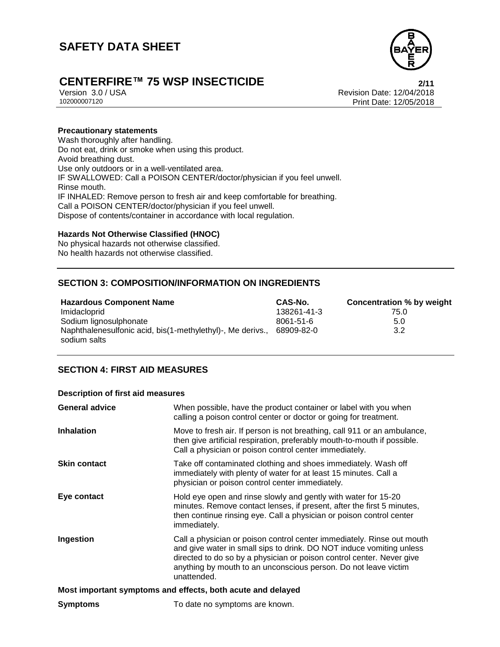

## **CENTERFIRE™ 75 WSP INSECTICIDE 2/11**

Version 3.0 / USA Revision Date: 12/04/2018 Print Date: 12/05/2018

#### **Precautionary statements**

Wash thoroughly after handling. Do not eat, drink or smoke when using this product. Avoid breathing dust. Use only outdoors or in a well-ventilated area. IF SWALLOWED: Call a POISON CENTER/doctor/physician if you feel unwell. Rinse mouth. IF INHALED: Remove person to fresh air and keep comfortable for breathing. Call a POISON CENTER/doctor/physician if you feel unwell. Dispose of contents/container in accordance with local regulation.

#### **Hazards Not Otherwise Classified (HNOC)**

No physical hazards not otherwise classified. No health hazards not otherwise classified.

#### **SECTION 3: COMPOSITION/INFORMATION ON INGREDIENTS**

| <b>Hazardous Component Name</b>                            | CAS-No.         | <b>Concentration % by weight</b> |
|------------------------------------------------------------|-----------------|----------------------------------|
| Imidacloprid                                               | 138261-41-3     | 75.0                             |
| Sodium lignosulphonate                                     | $8061 - 51 - 6$ | 5.0                              |
| Naphthalenesulfonic acid, bis(1-methylethyl)-, Me derivs., | 68909-82-0      | 3.2                              |
| sodium salts                                               |                 |                                  |

#### **SECTION 4: FIRST AID MEASURES**

#### **Description of first aid measures**

| <b>General advice</b>                                       | When possible, have the product container or label with you when<br>calling a poison control center or doctor or going for treatment.                                                                                                                                                                     |  |
|-------------------------------------------------------------|-----------------------------------------------------------------------------------------------------------------------------------------------------------------------------------------------------------------------------------------------------------------------------------------------------------|--|
| <b>Inhalation</b>                                           | Move to fresh air. If person is not breathing, call 911 or an ambulance,<br>then give artificial respiration, preferably mouth-to-mouth if possible.<br>Call a physician or poison control center immediately.                                                                                            |  |
| <b>Skin contact</b>                                         | Take off contaminated clothing and shoes immediately. Wash off<br>immediately with plenty of water for at least 15 minutes. Call a<br>physician or poison control center immediately.                                                                                                                     |  |
| Eye contact                                                 | Hold eye open and rinse slowly and gently with water for 15-20<br>minutes. Remove contact lenses, if present, after the first 5 minutes,<br>then continue rinsing eye. Call a physician or poison control center<br>immediately.                                                                          |  |
| Ingestion                                                   | Call a physician or poison control center immediately. Rinse out mouth<br>and give water in small sips to drink. DO NOT induce vomiting unless<br>directed to do so by a physician or poison control center. Never give<br>anything by mouth to an unconscious person. Do not leave victim<br>unattended. |  |
| Most important symptoms and effects, both acute and delayed |                                                                                                                                                                                                                                                                                                           |  |
| <b>Symptoms</b>                                             | To date no symptoms are known.                                                                                                                                                                                                                                                                            |  |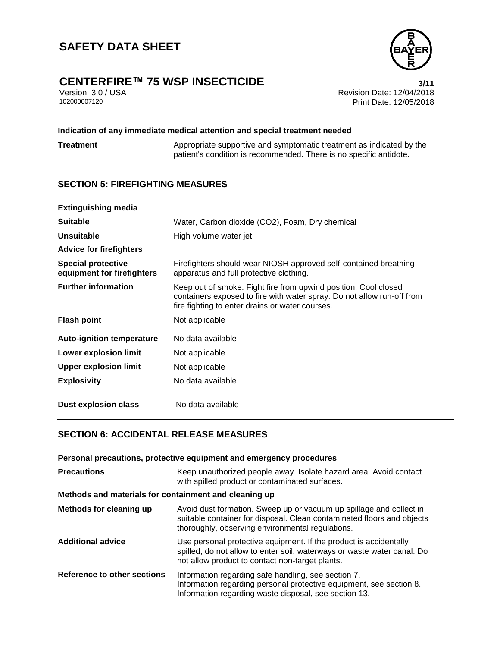

## **CENTERFIRE™ 75 WSP INSECTICIDE**<br>Version 3.0 / USA **12/04/2018**<br>Revision Date: 12/04/2018

Version 3.0 / USA Revision Date: 12/04/2018<br>102000007120 Print Date: 12/05/2018 Print Date: 12/05/2018

#### **Indication of any immediate medical attention and special treatment needed**

**Treatment** Appropriate supportive and symptomatic treatment as indicated by the patient's condition is recommended. There is no specific antidote.

#### **SECTION 5: FIREFIGHTING MEASURES**

| <b>Extinguishing media</b>                              |                                                                                                                                                                                              |
|---------------------------------------------------------|----------------------------------------------------------------------------------------------------------------------------------------------------------------------------------------------|
| <b>Suitable</b>                                         | Water, Carbon dioxide (CO2), Foam, Dry chemical                                                                                                                                              |
| Unsuitable                                              | High volume water jet                                                                                                                                                                        |
| <b>Advice for firefighters</b>                          |                                                                                                                                                                                              |
| <b>Special protective</b><br>equipment for firefighters | Firefighters should wear NIOSH approved self-contained breathing<br>apparatus and full protective clothing.                                                                                  |
| <b>Further information</b>                              | Keep out of smoke. Fight fire from upwind position. Cool closed<br>containers exposed to fire with water spray. Do not allow run-off from<br>fire fighting to enter drains or water courses. |
| <b>Flash point</b>                                      | Not applicable                                                                                                                                                                               |
| <b>Auto-ignition temperature</b>                        | No data available                                                                                                                                                                            |
| <b>Lower explosion limit</b>                            | Not applicable                                                                                                                                                                               |
| <b>Upper explosion limit</b>                            | Not applicable                                                                                                                                                                               |
| <b>Explosivity</b>                                      | No data available                                                                                                                                                                            |
| Dust explosion class                                    | No data available                                                                                                                                                                            |

#### **SECTION 6: ACCIDENTAL RELEASE MEASURES**

| Personal precautions, protective equipment and emergency procedures |                                                                                                                                                                                                   |  |
|---------------------------------------------------------------------|---------------------------------------------------------------------------------------------------------------------------------------------------------------------------------------------------|--|
| <b>Precautions</b>                                                  | Keep unauthorized people away. Isolate hazard area. Avoid contact<br>with spilled product or contaminated surfaces.                                                                               |  |
| Methods and materials for containment and cleaning up               |                                                                                                                                                                                                   |  |
| Methods for cleaning up                                             | Avoid dust formation. Sweep up or vacuum up spillage and collect in<br>suitable container for disposal. Clean contaminated floors and objects<br>thoroughly, observing environmental regulations. |  |
| <b>Additional advice</b>                                            | Use personal protective equipment. If the product is accidentally<br>spilled, do not allow to enter soil, waterways or waste water canal. Do<br>not allow product to contact non-target plants.   |  |
| Reference to other sections                                         | Information regarding safe handling, see section 7.<br>Information regarding personal protective equipment, see section 8.<br>Information regarding waste disposal, see section 13.               |  |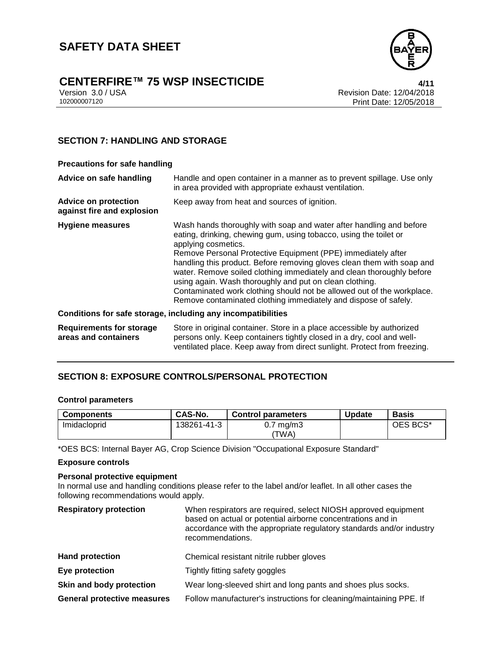

## **CENTERFIRE™ 75 WSP INSECTICIDE**<br>Version 3.0 / USA *A/***11<br>Revision Date: 12/04/2018**

Version 3.0 / USA Revision Date: 12/04/2018 Print Date: 12/05/2018

#### **SECTION 7: HANDLING AND STORAGE**

#### **Precautions for safe handling**

| Advice on safe handling                                   | Handle and open container in a manner as to prevent spillage. Use only<br>in area provided with appropriate exhaust ventilation.                                                                                                                                                                                                                                                                                                                                                                                                                                                           |
|-----------------------------------------------------------|--------------------------------------------------------------------------------------------------------------------------------------------------------------------------------------------------------------------------------------------------------------------------------------------------------------------------------------------------------------------------------------------------------------------------------------------------------------------------------------------------------------------------------------------------------------------------------------------|
| <b>Advice on protection</b><br>against fire and explosion | Keep away from heat and sources of ignition.                                                                                                                                                                                                                                                                                                                                                                                                                                                                                                                                               |
| <b>Hygiene measures</b>                                   | Wash hands thoroughly with soap and water after handling and before<br>eating, drinking, chewing gum, using tobacco, using the toilet or<br>applying cosmetics.<br>Remove Personal Protective Equipment (PPE) immediately after<br>handling this product. Before removing gloves clean them with soap and<br>water. Remove soiled clothing immediately and clean thoroughly before<br>using again. Wash thoroughly and put on clean clothing.<br>Contaminated work clothing should not be allowed out of the workplace.<br>Remove contaminated clothing immediately and dispose of safely. |
|                                                           | Conditions for safe storage, including any incompatibilities                                                                                                                                                                                                                                                                                                                                                                                                                                                                                                                               |
| <b>Requirements for storage</b><br>areas and containers   | Store in original container. Store in a place accessible by authorized<br>persons only. Keep containers tightly closed in a dry, cool and well-<br>ventilated place. Keep away from direct sunlight. Protect from freezing.                                                                                                                                                                                                                                                                                                                                                                |

#### **SECTION 8: EXPOSURE CONTROLS/PERSONAL PROTECTION**

#### **Control parameters**

| <b>Components</b> | CAS-No.     | <b>Control parameters</b> | <b>Update</b> | <b>Basis</b> |
|-------------------|-------------|---------------------------|---------------|--------------|
| Imidacloprid      | 138261-41-3 | mg/m3<br>V.I<br>'TWA)     |               | OES BCS*     |

\*OES BCS: Internal Bayer AG, Crop Science Division "Occupational Exposure Standard"

#### **Exposure controls**

#### **Personal protective equipment**

In normal use and handling conditions please refer to the label and/or leaflet. In all other cases the following recommendations would apply.

| <b>Respiratory protection</b>      | When respirators are required, select NIOSH approved equipment<br>based on actual or potential airborne concentrations and in<br>accordance with the appropriate regulatory standards and/or industry<br>recommendations. |
|------------------------------------|---------------------------------------------------------------------------------------------------------------------------------------------------------------------------------------------------------------------------|
| <b>Hand protection</b>             | Chemical resistant nitrile rubber gloves                                                                                                                                                                                  |
| Eye protection                     | Tightly fitting safety goggles                                                                                                                                                                                            |
| Skin and body protection           | Wear long-sleeved shirt and long pants and shoes plus socks.                                                                                                                                                              |
| <b>General protective measures</b> | Follow manufacturer's instructions for cleaning/maintaining PPE. If                                                                                                                                                       |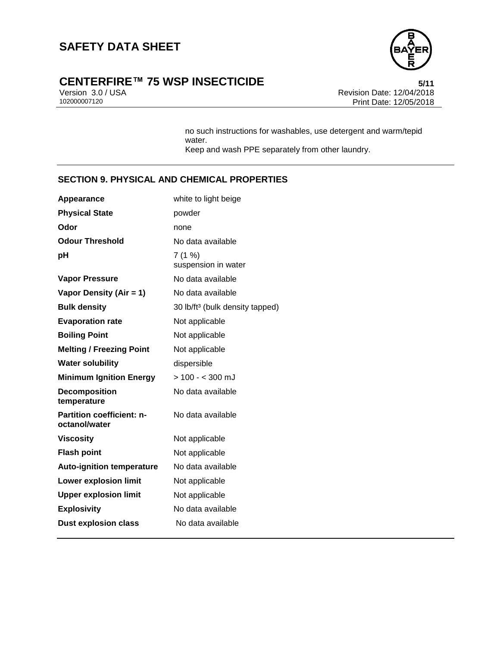

# **CENTERFIRE™ 75 WSP INSECTICIDE**<br>Version 3.0 / USA **bidders and Secure 12/04/2018**<br>Revision Date: 12/04/2018

Version 3.0 / USA Revision Date: 12/04/2018<br>102000007120 Print Date: 12/05/2018 Print Date: 12/05/2018

> no such instructions for washables, use detergent and warm/tepid water. Keep and wash PPE separately from other laundry.

#### **SECTION 9. PHYSICAL AND CHEMICAL PROPERTIES**

| Appearance                                        | white to light beige                        |
|---------------------------------------------------|---------------------------------------------|
| <b>Physical State</b>                             | powder                                      |
| Odor                                              | none                                        |
| <b>Odour Threshold</b>                            | No data available                           |
| рH                                                | 7(1%<br>suspension in water                 |
| <b>Vapor Pressure</b>                             | No data available                           |
| Vapor Density (Air = 1)                           | No data available                           |
| <b>Bulk density</b>                               | 30 lb/ft <sup>3</sup> (bulk density tapped) |
| <b>Evaporation rate</b>                           | Not applicable                              |
| <b>Boiling Point</b>                              | Not applicable                              |
| <b>Melting / Freezing Point</b>                   | Not applicable                              |
| <b>Water solubility</b>                           | dispersible                                 |
| <b>Minimum Ignition Energy</b>                    | $> 100 - 300$ mJ                            |
| <b>Decomposition</b><br>temperature               | No data available                           |
| <b>Partition coefficient: n-</b><br>octanol/water | No data available                           |
| <b>Viscosity</b>                                  | Not applicable                              |
| <b>Flash point</b>                                | Not applicable                              |
| <b>Auto-ignition temperature</b>                  | No data available                           |
| <b>Lower explosion limit</b>                      | Not applicable                              |
| <b>Upper explosion limit</b>                      | Not applicable                              |
| <b>Explosivity</b>                                | No data available                           |
| <b>Dust explosion class</b>                       | No data available                           |
|                                                   |                                             |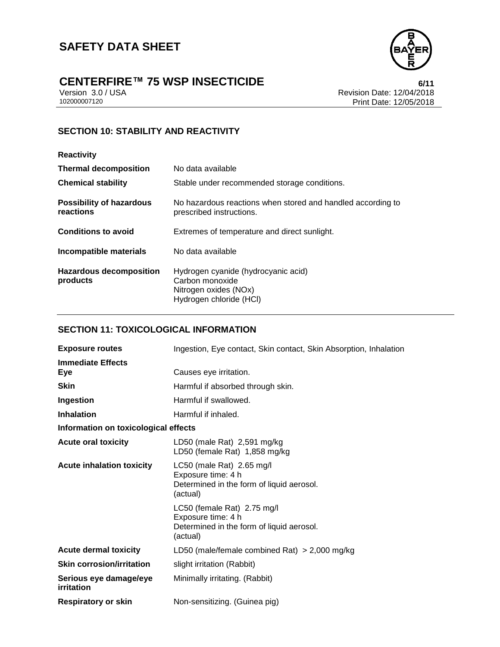

# **CENTERFIRE™ 75 WSP INSECTICIDE**<br>Version 3.0 / USA **bitting the CTICIDE**<br>Revision Date: 12/04/2018

Version 3.0 / USA Revision Date: 12/04/2018<br>102000007120 Print Date: 12/05/2018 Print Date: 12/05/2018

### **SECTION 10: STABILITY AND REACTIVITY**

| <b>Reactivity</b>                            |                                                                                                            |
|----------------------------------------------|------------------------------------------------------------------------------------------------------------|
| <b>Thermal decomposition</b>                 | No data available                                                                                          |
| <b>Chemical stability</b>                    | Stable under recommended storage conditions.                                                               |
| <b>Possibility of hazardous</b><br>reactions | No hazardous reactions when stored and handled according to<br>prescribed instructions.                    |
| <b>Conditions to avoid</b>                   | Extremes of temperature and direct sunlight.                                                               |
| Incompatible materials                       | No data available                                                                                          |
| <b>Hazardous decomposition</b><br>products   | Hydrogen cyanide (hydrocyanic acid)<br>Carbon monoxide<br>Nitrogen oxides (NOx)<br>Hydrogen chloride (HCI) |

#### **SECTION 11: TOXICOLOGICAL INFORMATION**

| <b>Exposure routes</b>               | Ingestion, Eye contact, Skin contact, Skin Absorption, Inhalation                                          |
|--------------------------------------|------------------------------------------------------------------------------------------------------------|
| <b>Immediate Effects</b><br>Eye      | Causes eye irritation.                                                                                     |
| <b>Skin</b>                          | Harmful if absorbed through skin.                                                                          |
| Ingestion                            | Harmful if swallowed.                                                                                      |
| <b>Inhalation</b>                    | Harmful if inhaled.                                                                                        |
| Information on toxicological effects |                                                                                                            |
| <b>Acute oral toxicity</b>           | LD50 (male Rat) 2,591 mg/kg<br>LD50 (female Rat) 1,858 mg/kg                                               |
| <b>Acute inhalation toxicity</b>     | LC50 (male Rat) $2.65$ mg/l<br>Exposure time: 4 h<br>Determined in the form of liquid aerosol.<br>(actual) |
|                                      | LC50 (female Rat) 2.75 mg/l<br>Exposure time: 4 h<br>Determined in the form of liquid aerosol.<br>(actual) |
| <b>Acute dermal toxicity</b>         | LD50 (male/female combined Rat) $>$ 2,000 mg/kg                                                            |
| <b>Skin corrosion/irritation</b>     | slight irritation (Rabbit)                                                                                 |
| Serious eye damage/eye<br>irritation | Minimally irritating. (Rabbit)                                                                             |
| <b>Respiratory or skin</b>           | Non-sensitizing. (Guinea pig)                                                                              |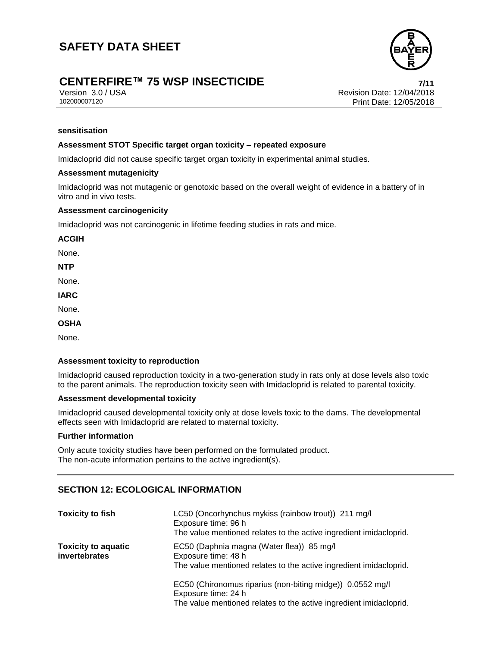### **CENTERFIRE™ 75 WSP INSECTICIDE 7/11**

Version 3.0 / USA Revision Date: 12/04/2018<br>102000007120 Print Date: 12/05/2018 Print Date: 12/05/2018

#### **sensitisation**

#### **Assessment STOT Specific target organ toxicity – repeated exposure**

Imidacloprid did not cause specific target organ toxicity in experimental animal studies.

#### **Assessment mutagenicity**

Imidacloprid was not mutagenic or genotoxic based on the overall weight of evidence in a battery of in vitro and in vivo tests.

#### **Assessment carcinogenicity**

Imidacloprid was not carcinogenic in lifetime feeding studies in rats and mice.

**ACGIH**

None.

**NTP**

None.

**IARC**

None.

**OSHA**

None.

#### **Assessment toxicity to reproduction**

Imidacloprid caused reproduction toxicity in a two-generation study in rats only at dose levels also toxic to the parent animals. The reproduction toxicity seen with Imidacloprid is related to parental toxicity.

#### **Assessment developmental toxicity**

Imidacloprid caused developmental toxicity only at dose levels toxic to the dams. The developmental effects seen with Imidacloprid are related to maternal toxicity.

#### **Further information**

Only acute toxicity studies have been performed on the formulated product. The non-acute information pertains to the active ingredient(s).

#### **SECTION 12: ECOLOGICAL INFORMATION**

| <b>Toxicity to fish</b>                     | LC50 (Oncorhynchus mykiss (rainbow trout)) 211 mg/l<br>Exposure time: 96 h<br>The value mentioned relates to the active ingredient imidacloprid.       |
|---------------------------------------------|--------------------------------------------------------------------------------------------------------------------------------------------------------|
| <b>Toxicity to aquatic</b><br>invertebrates | EC50 (Daphnia magna (Water flea)) 85 mg/l<br>Exposure time: 48 h<br>The value mentioned relates to the active ingredient imidacloprid.                 |
|                                             | EC50 (Chironomus riparius (non-biting midge)) 0.0552 mg/l<br>Exposure time: 24 h<br>The value mentioned relates to the active ingredient imidacloprid. |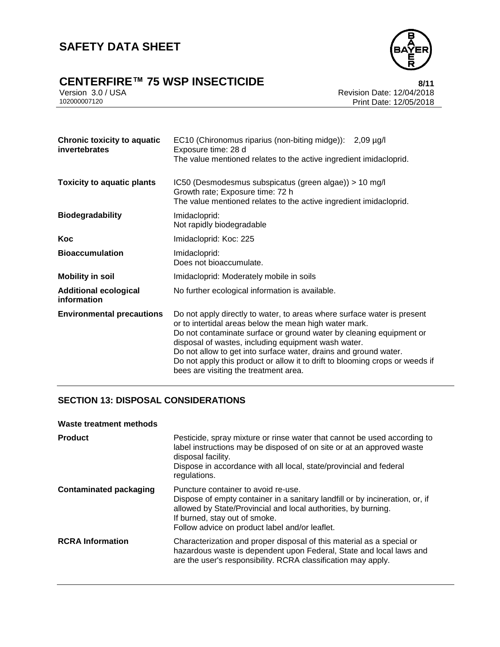

# **CENTERFIRE™ 75 WSP INSECTICIDE**<br>Version 3.0 / USA **BEER THE SECTICIDE**<br>Revision Date: 12/04/2018

Version 3.0 / USA Revision Date: 12/04/2018<br>102000007120 Print Date: 12/05/2018 Print Date: 12/05/2018

| <b>Chronic toxicity to aquatic</b><br>invertebrates | EC10 (Chironomus riparius (non-biting midge)): 2,09 µg/l<br>Exposure time: 28 d<br>The value mentioned relates to the active ingredient imidacloprid.                                                                                                                                                                                                                                                                                                        |
|-----------------------------------------------------|--------------------------------------------------------------------------------------------------------------------------------------------------------------------------------------------------------------------------------------------------------------------------------------------------------------------------------------------------------------------------------------------------------------------------------------------------------------|
| <b>Toxicity to aquatic plants</b>                   | IC50 (Desmodesmus subspicatus (green algae)) > 10 mg/l<br>Growth rate; Exposure time: 72 h<br>The value mentioned relates to the active ingredient imidacloprid.                                                                                                                                                                                                                                                                                             |
| <b>Biodegradability</b>                             | Imidacloprid:<br>Not rapidly biodegradable                                                                                                                                                                                                                                                                                                                                                                                                                   |
| Koc                                                 | Imidacloprid: Koc: 225                                                                                                                                                                                                                                                                                                                                                                                                                                       |
| <b>Bioaccumulation</b>                              | Imidacloprid:<br>Does not bioaccumulate.                                                                                                                                                                                                                                                                                                                                                                                                                     |
| <b>Mobility in soil</b>                             | Imidacloprid: Moderately mobile in soils                                                                                                                                                                                                                                                                                                                                                                                                                     |
| <b>Additional ecological</b><br>information         | No further ecological information is available.                                                                                                                                                                                                                                                                                                                                                                                                              |
| <b>Environmental precautions</b>                    | Do not apply directly to water, to areas where surface water is present<br>or to intertidal areas below the mean high water mark.<br>Do not contaminate surface or ground water by cleaning equipment or<br>disposal of wastes, including equipment wash water.<br>Do not allow to get into surface water, drains and ground water.<br>Do not apply this product or allow it to drift to blooming crops or weeds if<br>bees are visiting the treatment area. |

#### **SECTION 13: DISPOSAL CONSIDERATIONS**

#### **Waste treatment methods**

| <b>Product</b>                | Pesticide, spray mixture or rinse water that cannot be used according to<br>label instructions may be disposed of on site or at an approved waste<br>disposal facility.<br>Dispose in accordance with all local, state/provincial and federal<br>regulations.            |
|-------------------------------|--------------------------------------------------------------------------------------------------------------------------------------------------------------------------------------------------------------------------------------------------------------------------|
| <b>Contaminated packaging</b> | Puncture container to avoid re-use.<br>Dispose of empty container in a sanitary landfill or by incineration, or, if<br>allowed by State/Provincial and local authorities, by burning.<br>If burned, stay out of smoke.<br>Follow advice on product label and/or leaflet. |
| <b>RCRA</b> Information       | Characterization and proper disposal of this material as a special or<br>hazardous waste is dependent upon Federal, State and local laws and<br>are the user's responsibility. RCRA classification may apply.                                                            |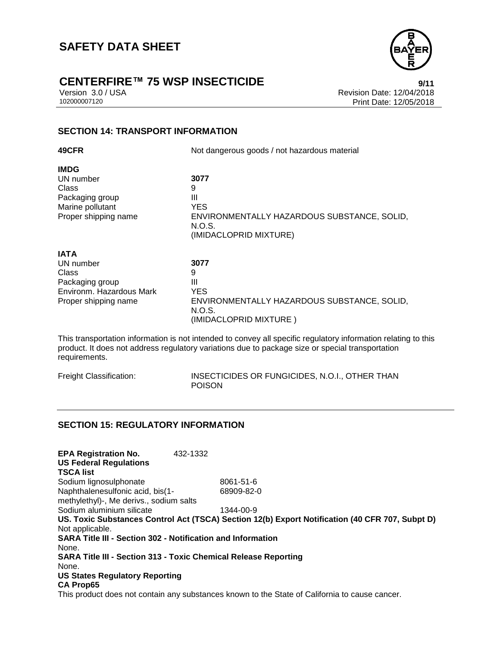

## **CENTERFIRE™ 75 WSP INSECTICIDE**<br>Version 3.0 / USA **Presion 3.0 / USA**

Version 3.0 / USA <br>102000007120<br>Print Date: 12/05/2018 Print Date: 12/05/2018

#### **SECTION 14: TRANSPORT INFORMATION**

| 49CFR                                                                                                    | Not dangerous goods / not hazardous material                                                                    |
|----------------------------------------------------------------------------------------------------------|-----------------------------------------------------------------------------------------------------------------|
| <b>IMDG</b><br>UN number<br>Class<br>Packaging group<br>Marine pollutant<br>Proper shipping name         | 3077<br>9<br>Ш<br><b>YES</b><br>ENVIRONMENTALLY HAZARDOUS SUBSTANCE, SOLID,<br>N.O.S.<br>(IMIDACLOPRID MIXTURE) |
| <b>IATA</b><br>UN number<br>Class<br>Packaging group<br>Environm. Hazardous Mark<br>Proper shipping name | 3077<br>9<br>Ш<br><b>YES</b><br>ENVIRONMENTALLY HAZARDOUS SUBSTANCE, SOLID,<br>N.O.S.<br>(IMIDACLOPRID MIXTURE) |

This transportation information is not intended to convey all specific regulatory information relating to this product. It does not address regulatory variations due to package size or special transportation requirements.

| Freight Classification: | INSECTICIDES OR FUNGICIDES, N.O.I., OTHER THAN |
|-------------------------|------------------------------------------------|
|                         | <b>POISON</b>                                  |

#### **SECTION 15: REGULATORY INFORMATION**

| <b>EPA Registration No.</b><br><b>US Federal Regulations</b><br><b>TSCA list</b> | 432-1332 |                                                                                                 |
|----------------------------------------------------------------------------------|----------|-------------------------------------------------------------------------------------------------|
| Sodium lignosulphonate                                                           |          | 8061-51-6                                                                                       |
| Naphthalenesulfonic acid, bis(1-                                                 |          | 68909-82-0                                                                                      |
| methylethyl)-, Me derivs., sodium salts                                          |          |                                                                                                 |
| Sodium aluminium silicate                                                        |          | 1344-00-9                                                                                       |
|                                                                                  |          | US. Toxic Substances Control Act (TSCA) Section 12(b) Export Notification (40 CFR 707, Subpt D) |
| Not applicable.                                                                  |          |                                                                                                 |
| <b>SARA Title III - Section 302 - Notification and Information</b>               |          |                                                                                                 |
| None.                                                                            |          |                                                                                                 |
| <b>SARA Title III - Section 313 - Toxic Chemical Release Reporting</b>           |          |                                                                                                 |
| None.                                                                            |          |                                                                                                 |
| <b>US States Regulatory Reporting</b>                                            |          |                                                                                                 |
| <b>CA Prop65</b>                                                                 |          |                                                                                                 |
|                                                                                  |          | This aradust does not contain ony substances known to the Ctate of Colifornia to couse conserve |

This product does not contain any substances known to the State of California to cause cancer.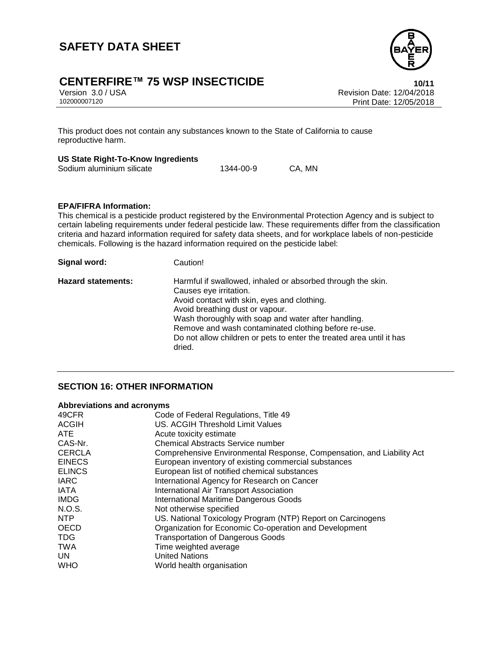

## **CENTERFIRE™ 75 WSP INSECTICIDE 10/11**

Version 3.0 / USA Revision Date: 12/04/2018 Print Date: 12/05/2018

This product does not contain any substances known to the State of California to cause reproductive harm.

#### **US State Right-To-Know Ingredients**

| Sodium aluminium silicate | 1344-00-9 | CA, MN |
|---------------------------|-----------|--------|
|                           |           |        |

#### **EPA/FIFRA Information:**

This chemical is a pesticide product registered by the Environmental Protection Agency and is subject to certain labeling requirements under federal pesticide law. These requirements differ from the classification criteria and hazard information required for safety data sheets, and for workplace labels of non-pesticide chemicals. Following is the hazard information required on the pesticide label:

| Signal word:              | Caution!                                                                                                                                                                                                                                                                                                                                                                 |
|---------------------------|--------------------------------------------------------------------------------------------------------------------------------------------------------------------------------------------------------------------------------------------------------------------------------------------------------------------------------------------------------------------------|
| <b>Hazard statements:</b> | Harmful if swallowed, inhaled or absorbed through the skin.<br>Causes eye irritation.<br>Avoid contact with skin, eyes and clothing.<br>Avoid breathing dust or vapour.<br>Wash thoroughly with soap and water after handling.<br>Remove and wash contaminated clothing before re-use.<br>Do not allow children or pets to enter the treated area until it has<br>dried. |

#### **SECTION 16: OTHER INFORMATION**

#### **Abbreviations and acronyms**

| 49CFR         | Code of Federal Regulations, Title 49                                 |
|---------------|-----------------------------------------------------------------------|
| <b>ACGIH</b>  | US. ACGIH Threshold Limit Values                                      |
| <b>ATE</b>    | Acute toxicity estimate                                               |
| CAS-Nr.       | <b>Chemical Abstracts Service number</b>                              |
| <b>CERCLA</b> | Comprehensive Environmental Response, Compensation, and Liability Act |
| <b>EINECS</b> | European inventory of existing commercial substances                  |
| <b>ELINCS</b> | European list of notified chemical substances                         |
| <b>IARC</b>   | International Agency for Research on Cancer                           |
| <b>IATA</b>   | International Air Transport Association                               |
| <b>IMDG</b>   | <b>International Maritime Dangerous Goods</b>                         |
| N.O.S.        | Not otherwise specified                                               |
| NTP           | US. National Toxicology Program (NTP) Report on Carcinogens           |
| <b>OECD</b>   | Organization for Economic Co-operation and Development                |
| <b>TDG</b>    | <b>Transportation of Dangerous Goods</b>                              |
| <b>TWA</b>    | Time weighted average                                                 |
| UN.           | <b>United Nations</b>                                                 |
| <b>WHO</b>    | World health organisation                                             |